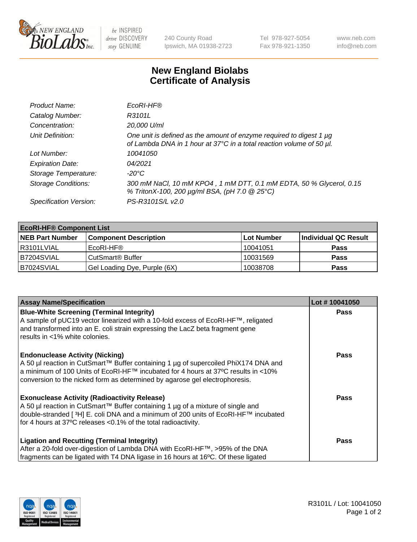

 $be$  INSPIRED drive DISCOVERY stay GENUINE

240 County Road Ipswich, MA 01938-2723 Tel 978-927-5054 Fax 978-921-1350 www.neb.com info@neb.com

## **New England Biolabs Certificate of Analysis**

| Product Name:              | EcoRI-HF®                                                                                                                                   |
|----------------------------|---------------------------------------------------------------------------------------------------------------------------------------------|
| Catalog Number:            | R3101L                                                                                                                                      |
| Concentration:             | 20,000 U/ml                                                                                                                                 |
| Unit Definition:           | One unit is defined as the amount of enzyme required to digest 1 µg<br>of Lambda DNA in 1 hour at 37°C in a total reaction volume of 50 µl. |
| Lot Number:                | 10041050                                                                                                                                    |
| <b>Expiration Date:</b>    | 04/2021                                                                                                                                     |
| Storage Temperature:       | -20°C                                                                                                                                       |
| <b>Storage Conditions:</b> | 300 mM NaCl, 10 mM KPO4, 1 mM DTT, 0.1 mM EDTA, 50 % Glycerol, 0.15<br>% TritonX-100, 200 µg/ml BSA, (pH 7.0 @ 25°C)                        |
| Specification Version:     | PS-R3101S/L v2.0                                                                                                                            |

| <b>EcoRI-HF® Component List</b> |                              |            |                      |  |  |
|---------------------------------|------------------------------|------------|----------------------|--|--|
| <b>NEB Part Number</b>          | <b>Component Description</b> | Lot Number | Individual QC Result |  |  |
| I R3101LVIAL                    | EcoRI-HF®                    | 10041051   | <b>Pass</b>          |  |  |
| IB7204SVIAL                     | CutSmart <sup>®</sup> Buffer | 10031569   | <b>Pass</b>          |  |  |
| B7024SVIAL                      | Gel Loading Dye, Purple (6X) | 10038708   | <b>Pass</b>          |  |  |

| <b>Assay Name/Specification</b>                                                                                                                                                                                                                                                                                                       | Lot #10041050 |
|---------------------------------------------------------------------------------------------------------------------------------------------------------------------------------------------------------------------------------------------------------------------------------------------------------------------------------------|---------------|
| <b>Blue-White Screening (Terminal Integrity)</b><br>A sample of pUC19 vector linearized with a 10-fold excess of EcoRI-HF™, religated<br>and transformed into an E. coli strain expressing the LacZ beta fragment gene                                                                                                                | <b>Pass</b>   |
| results in <1% white colonies.<br><b>Endonuclease Activity (Nicking)</b><br>A 50 µl reaction in CutSmart™ Buffer containing 1 µg of supercoiled PhiX174 DNA and<br>  a minimum of 100 Units of EcoRI-HF™ incubated for 4 hours at 37°C results in <10%<br>conversion to the nicked form as determined by agarose gel electrophoresis. | <b>Pass</b>   |
| <b>Exonuclease Activity (Radioactivity Release)</b><br>  A 50 µl reaction in CutSmart™ Buffer containing 1 µg of a mixture of single and<br>double-stranded [ <sup>3</sup> H] E. coli DNA and a minimum of 200 units of EcoRI-HF™ incubated<br>for 4 hours at 37°C releases <0.1% of the total radioactivity.                         | Pass          |
| <b>Ligation and Recutting (Terminal Integrity)</b><br>After a 20-fold over-digestion of Lambda DNA with EcoRI-HF™, >95% of the DNA<br>fragments can be ligated with T4 DNA ligase in 16 hours at 16°C. Of these ligated                                                                                                               | <b>Pass</b>   |